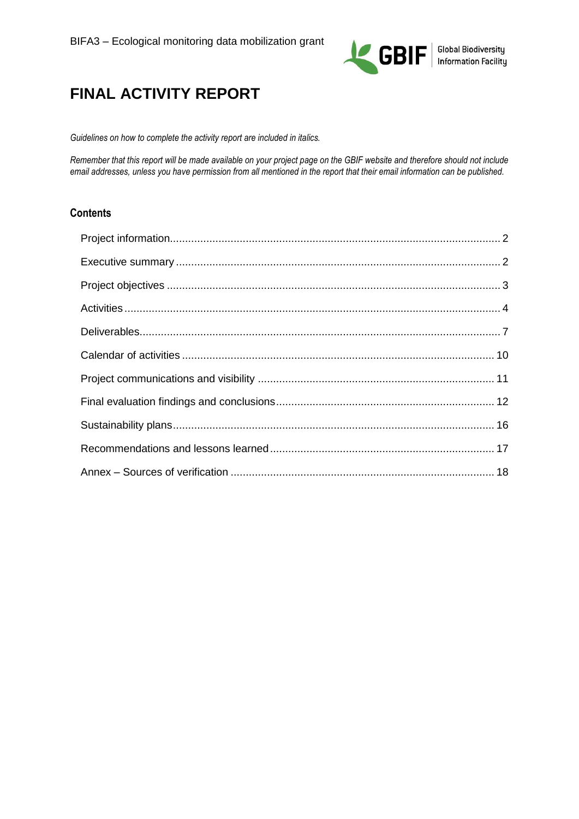

# **FINAL ACTIVITY REPORT**

*Guidelines on how to complete the activity report are included in italics.* 

*Remember that this report will be made available on your project page on the GBIF website and therefore should not include email addresses, unless you have permission from all mentioned in the report that their email information can be published.* 

### **Contents**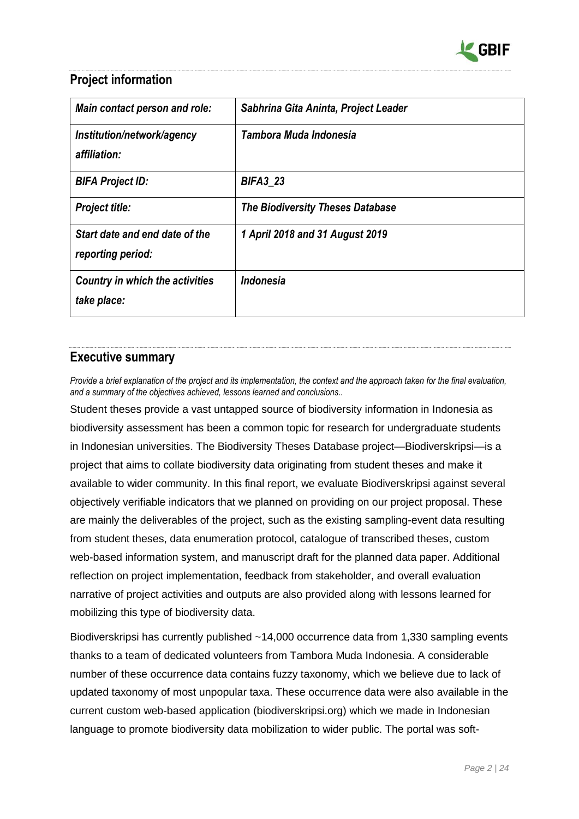

# <span id="page-1-0"></span>**Project information**

| Main contact person and role:                         | Sabhrina Gita Aninta, Project Leader    |
|-------------------------------------------------------|-----------------------------------------|
| Institution/network/agency<br>affiliation:            | Tambora Muda Indonesia                  |
| <b>BIFA Project ID:</b>                               | <b>BIFA3_23</b>                         |
| <b>Project title:</b>                                 | <b>The Biodiversity Theses Database</b> |
| Start date and end date of the<br>reporting period:   | 1 April 2018 and 31 August 2019         |
| <b>Country in which the activities</b><br>take place: | Indonesia                               |

# <span id="page-1-1"></span>**Executive summary**

*Provide a brief explanation of the project and its implementation, the context and the approach taken for the final evaluation, and a summary of the objectives achieved, lessons learned and conclusions..* 

Student theses provide a vast untapped source of biodiversity information in Indonesia as biodiversity assessment has been a common topic for research for undergraduate students in Indonesian universities. The Biodiversity Theses Database project—Biodiverskripsi—is a project that aims to collate biodiversity data originating from student theses and make it available to wider community. In this final report, we evaluate Biodiverskripsi against several objectively verifiable indicators that we planned on providing on our project proposal. These are mainly the deliverables of the project, such as the existing sampling-event data resulting from student theses, data enumeration protocol, catalogue of transcribed theses, custom web-based information system, and manuscript draft for the planned data paper. Additional reflection on project implementation, feedback from stakeholder, and overall evaluation narrative of project activities and outputs are also provided along with lessons learned for mobilizing this type of biodiversity data.

Biodiverskripsi has currently published ~14,000 occurrence data from 1,330 sampling events thanks to a team of dedicated volunteers from Tambora Muda Indonesia. A considerable number of these occurrence data contains fuzzy taxonomy, which we believe due to lack of updated taxonomy of most unpopular taxa. These occurrence data were also available in the current custom web-based application (biodiverskripsi.org) which we made in Indonesian language to promote biodiversity data mobilization to wider public. The portal was soft-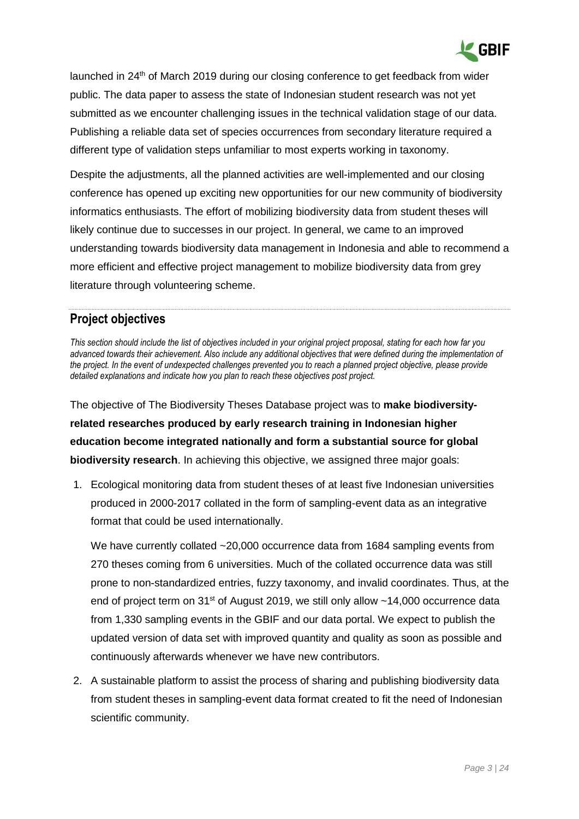

launched in  $24<sup>th</sup>$  of March 2019 during our closing conference to get feedback from wider public. The data paper to assess the state of Indonesian student research was not yet submitted as we encounter challenging issues in the technical validation stage of our data. Publishing a reliable data set of species occurrences from secondary literature required a different type of validation steps unfamiliar to most experts working in taxonomy.

Despite the adjustments, all the planned activities are well-implemented and our closing conference has opened up exciting new opportunities for our new community of biodiversity informatics enthusiasts. The effort of mobilizing biodiversity data from student theses will likely continue due to successes in our project. In general, we came to an improved understanding towards biodiversity data management in Indonesia and able to recommend a more efficient and effective project management to mobilize biodiversity data from grey literature through volunteering scheme.

# <span id="page-2-0"></span>**Project objectives**

*This section should include the list of objectives included in your original project proposal, stating for each how far you advanced towards their achievement. Also include any additional objectives that were defined during the implementation of the project. In the event of undexpected challenges prevented you to reach a planned project objective, please provide detailed explanations and indicate how you plan to reach these objectives post project.*

The objective of The Biodiversity Theses Database project was to **make biodiversityrelated researches produced by early research training in Indonesian higher education become integrated nationally and form a substantial source for global biodiversity research**. In achieving this objective, we assigned three major goals:

1. Ecological monitoring data from student theses of at least five Indonesian universities produced in 2000-2017 collated in the form of sampling-event data as an integrative format that could be used internationally.

We have currently collated ~20,000 occurrence data from 1684 sampling events from 270 theses coming from 6 universities. Much of the collated occurrence data was still prone to non-standardized entries, fuzzy taxonomy, and invalid coordinates. Thus, at the end of project term on  $31<sup>st</sup>$  of August 2019, we still only allow  $~14,000$  occurrence data from 1,330 sampling events in the GBIF and our data portal. We expect to publish the updated version of data set with improved quantity and quality as soon as possible and continuously afterwards whenever we have new contributors.

2. A sustainable platform to assist the process of sharing and publishing biodiversity data from student theses in sampling-event data format created to fit the need of Indonesian scientific community.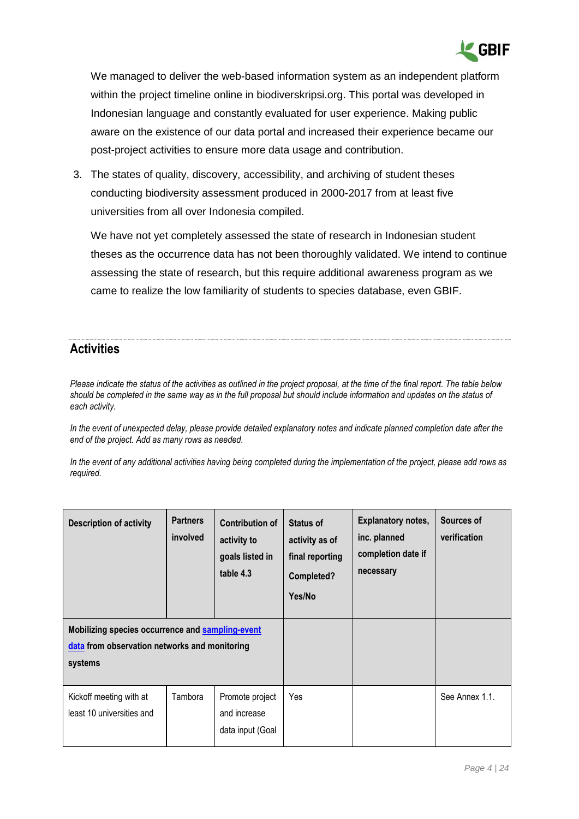

We managed to deliver the web-based information system as an independent platform within the project timeline online in biodiverskripsi.org. This portal was developed in Indonesian language and constantly evaluated for user experience. Making public aware on the existence of our data portal and increased their experience became our post-project activities to ensure more data usage and contribution.

3. The states of quality, discovery, accessibility, and archiving of student theses conducting biodiversity assessment produced in 2000-2017 from at least five universities from all over Indonesia compiled.

We have not yet completely assessed the state of research in Indonesian student theses as the occurrence data has not been thoroughly validated. We intend to continue assessing the state of research, but this require additional awareness program as we came to realize the low familiarity of students to species database, even GBIF.

# <span id="page-3-0"></span>**Activities**

*Please indicate the status of the activities as outlined in the project proposal, at the time of the final report. The table below should be completed in the same way as in the full proposal but should include information and updates on the status of each activity.* 

*In the event of unexpected delay, please provide detailed explanatory notes and indicate planned completion date after the end of the project. Add as many rows as needed.*

*In the event of any additional activities having being completed during the implementation of the project, please add rows as required.*

| <b>Description of activity</b>                                                                               | <b>Partners</b><br>involved | <b>Contribution of</b><br>activity to<br>goals listed in<br>table 4.3 | <b>Status of</b><br>activity as of<br>final reporting<br>Completed?<br>Yes/No | <b>Explanatory notes,</b><br>inc. planned<br>completion date if<br>necessary | Sources of<br>verification |
|--------------------------------------------------------------------------------------------------------------|-----------------------------|-----------------------------------------------------------------------|-------------------------------------------------------------------------------|------------------------------------------------------------------------------|----------------------------|
| Mobilizing species occurrence and sampling-event<br>data from observation networks and monitoring<br>systems |                             |                                                                       |                                                                               |                                                                              |                            |
| Kickoff meeting with at<br>least 10 universities and                                                         | Tambora                     | Promote project<br>and increase<br>data input (Goal                   | Yes                                                                           |                                                                              | See Annex 1.1.             |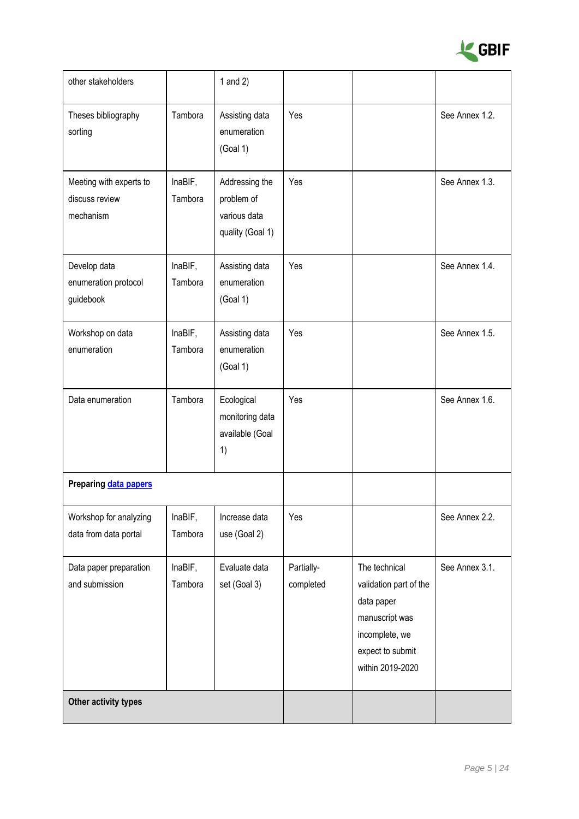

| other stakeholders                                     |                    | 1 and $2)$                                                       |                         |                                                                                                                                   |                |
|--------------------------------------------------------|--------------------|------------------------------------------------------------------|-------------------------|-----------------------------------------------------------------------------------------------------------------------------------|----------------|
| Theses bibliography<br>sorting                         | Tambora            | Assisting data<br>enumeration<br>(Goal 1)                        | Yes                     |                                                                                                                                   | See Annex 1.2. |
| Meeting with experts to<br>discuss review<br>mechanism | InaBIF,<br>Tambora | Addressing the<br>problem of<br>various data<br>quality (Goal 1) | Yes                     |                                                                                                                                   | See Annex 1.3. |
| Develop data<br>enumeration protocol<br>guidebook      | InaBIF,<br>Tambora | Assisting data<br>enumeration<br>(Goal 1)                        | Yes                     |                                                                                                                                   | See Annex 1.4. |
| Workshop on data<br>enumeration                        | InaBIF,<br>Tambora | Assisting data<br>enumeration<br>(Goal 1)                        | Yes                     |                                                                                                                                   | See Annex 1.5. |
| Data enumeration                                       | Tambora            | Ecological<br>monitoring data<br>available (Goal<br>1)           | Yes                     |                                                                                                                                   | See Annex 1.6. |
| Preparing data papers                                  |                    |                                                                  |                         |                                                                                                                                   |                |
| Workshop for analyzing<br>data from data portal        | InaBIF,<br>Tambora | Increase data<br>use (Goal 2)                                    | Yes                     |                                                                                                                                   | See Annex 2.2. |
| Data paper preparation<br>and submission               | InaBIF,<br>Tambora | Evaluate data<br>set (Goal 3)                                    | Partially-<br>completed | The technical<br>validation part of the<br>data paper<br>manuscript was<br>incomplete, we<br>expect to submit<br>within 2019-2020 | See Annex 3.1. |
| Other activity types                                   |                    |                                                                  |                         |                                                                                                                                   |                |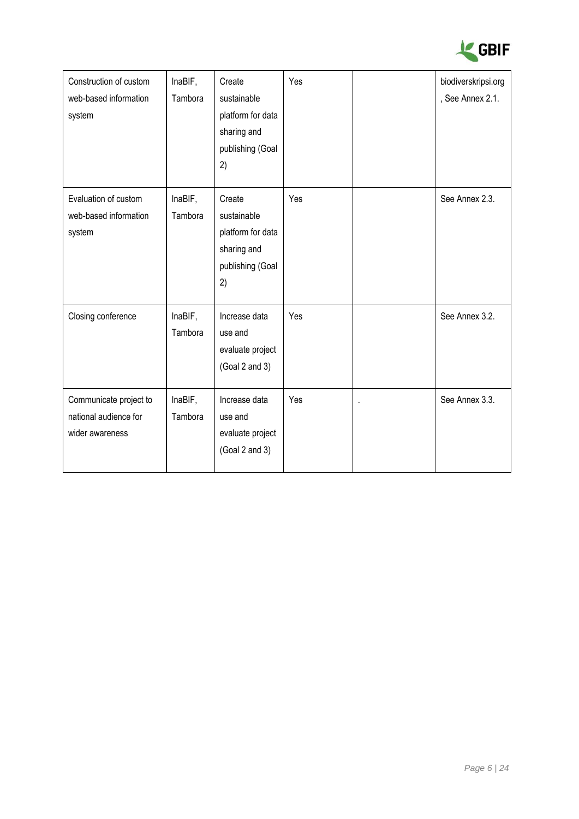

| Construction of custom<br>web-based information<br>system          | InaBIF,<br>Tambora | Create<br>sustainable<br>platform for data<br>sharing and<br>publishing (Goal<br>2) | Yes | biodiverskripsi.org<br>, See Annex 2.1. |
|--------------------------------------------------------------------|--------------------|-------------------------------------------------------------------------------------|-----|-----------------------------------------|
| Evaluation of custom<br>web-based information<br>system            | InaBIF,<br>Tambora | Create<br>sustainable<br>platform for data<br>sharing and<br>publishing (Goal<br>2) | Yes | See Annex 2.3.                          |
| Closing conference                                                 | InaBIF,<br>Tambora | Increase data<br>use and<br>evaluate project<br>(Goal 2 and 3)                      | Yes | See Annex 3.2.                          |
| Communicate project to<br>national audience for<br>wider awareness | InaBIF,<br>Tambora | Increase data<br>use and<br>evaluate project<br>(Goal 2 and 3)                      | Yes | See Annex 3.3.                          |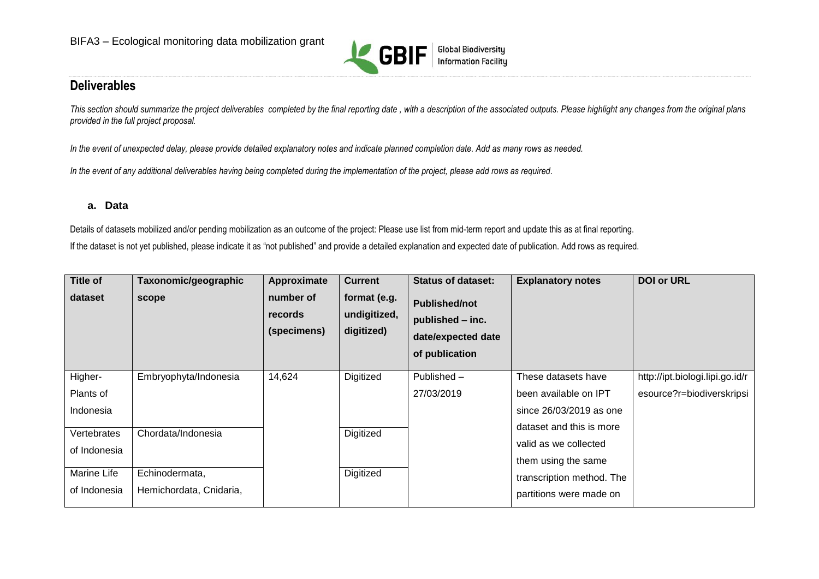

# **Deliverables**

This section should summarize the project deliverables completed by the final reporting date, with a description of the associated outputs. Please highlight any changes from the original plans *provided in the full project proposal.*

*In the event of unexpected delay, please provide detailed explanatory notes and indicate planned completion date. Add as many rows as needed.*

*In the event of any additional deliverables having being completed during the implementation of the project, please add rows as required.*

#### **a. Data**

Details of datasets mobilized and/or pending mobilization as an outcome of the project: Please use list from mid-term report and update this as at final reporting. If the dataset is not yet published, please indicate it as "not published" and provide a detailed explanation and expected date of publication. Add rows as required.

<span id="page-6-0"></span>

| <b>Title of</b><br>dataset | Taxonomic/geographic<br>scope | Approximate<br>number of<br>records<br>(specimens) | <b>Current</b><br>format (e.g.<br>undigitized,<br>digitized) | <b>Status of dataset:</b><br><b>Published/not</b><br>published - inc.<br>date/expected date<br>of publication | <b>Explanatory notes</b>  | <b>DOI or URL</b>               |
|----------------------------|-------------------------------|----------------------------------------------------|--------------------------------------------------------------|---------------------------------------------------------------------------------------------------------------|---------------------------|---------------------------------|
| Higher-                    | Embryophyta/Indonesia         | 14,624                                             | Digitized                                                    | Published -                                                                                                   | These datasets have       | http://ipt.biologi.lipi.go.id/r |
| Plants of                  |                               |                                                    |                                                              | 27/03/2019                                                                                                    | been available on IPT     | esource?r=biodiverskripsi       |
| Indonesia                  |                               |                                                    |                                                              |                                                                                                               | since 26/03/2019 as one   |                                 |
| Vertebrates                | Chordata/Indonesia            |                                                    | Digitized                                                    |                                                                                                               | dataset and this is more  |                                 |
| of Indonesia               |                               |                                                    |                                                              |                                                                                                               | valid as we collected     |                                 |
|                            |                               |                                                    |                                                              |                                                                                                               | them using the same       |                                 |
| Marine Life                | Echinodermata,                |                                                    | Digitized                                                    |                                                                                                               | transcription method. The |                                 |
| of Indonesia               | Hemichordata, Cnidaria,       |                                                    |                                                              |                                                                                                               | partitions were made on   |                                 |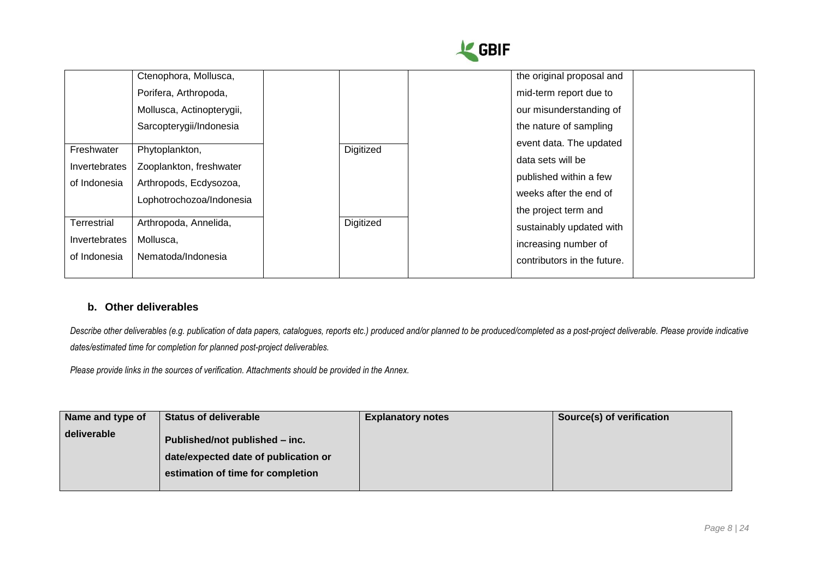

|               | Ctenophora, Mollusca,     |           | the original proposal and   |  |
|---------------|---------------------------|-----------|-----------------------------|--|
|               | Porifera, Arthropoda,     |           | mid-term report due to      |  |
|               | Mollusca, Actinopterygii, |           | our misunderstanding of     |  |
|               | Sarcopterygii/Indonesia   |           | the nature of sampling      |  |
| Freshwater    | Phytoplankton,            | Digitized | event data. The updated     |  |
| Invertebrates | Zooplankton, freshwater   |           | data sets will be           |  |
| of Indonesia  | Arthropods, Ecdysozoa,    |           | published within a few      |  |
|               | Lophotrochozoa/Indonesia  |           | weeks after the end of      |  |
|               |                           |           | the project term and        |  |
| Terrestrial   | Arthropoda, Annelida,     | Digitized | sustainably updated with    |  |
| Invertebrates | Mollusca,                 |           | increasing number of        |  |
| of Indonesia  | Nematoda/Indonesia        |           | contributors in the future. |  |
|               |                           |           |                             |  |

#### **b. Other deliverables**

Describe other deliverables (e.g. publication of [data papers,](https://www.gbif.org/data-papers) catalogues, reports etc.) produced and/or planned to be produced/completed as a post-project deliverable. Please provide indicative *dates/estimated time for completion for planned post-project deliverables.*

*Please provide links in the sources of verification. Attachments should be provided in the Annex.*

| Name and type of | <b>Status of deliverable</b>         | <b>Explanatory notes</b> | Source(s) of verification |
|------------------|--------------------------------------|--------------------------|---------------------------|
| deliverable      | Published/not published - inc.       |                          |                           |
|                  | date/expected date of publication or |                          |                           |
|                  | estimation of time for completion    |                          |                           |
|                  |                                      |                          |                           |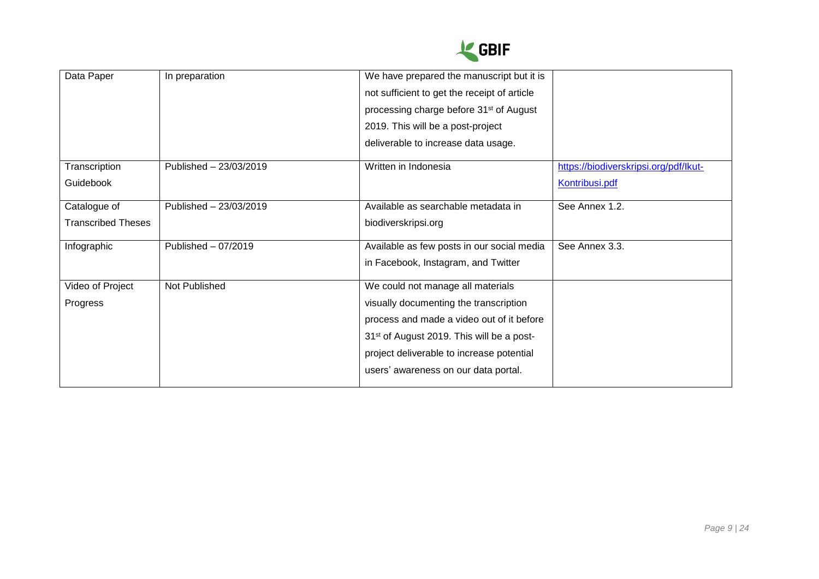

| Data Paper                | In preparation         | We have prepared the manuscript but it is             |                                       |
|---------------------------|------------------------|-------------------------------------------------------|---------------------------------------|
|                           |                        | not sufficient to get the receipt of article          |                                       |
|                           |                        | processing charge before 31 <sup>st</sup> of August   |                                       |
|                           |                        | 2019. This will be a post-project                     |                                       |
|                           |                        | deliverable to increase data usage.                   |                                       |
| Transcription             | Published - 23/03/2019 | Written in Indonesia                                  | https://biodiverskripsi.org/pdf/lkut- |
| <b>Guidebook</b>          |                        |                                                       | Kontribusi.pdf                        |
| Catalogue of              | Published - 23/03/2019 | Available as searchable metadata in                   | See Annex 1.2.                        |
| <b>Transcribed Theses</b> |                        | biodiverskripsi.org                                   |                                       |
| Infographic               | Published - 07/2019    | Available as few posts in our social media            | See Annex 3.3.                        |
|                           |                        | in Facebook, Instagram, and Twitter                   |                                       |
| Video of Project          | Not Published          | We could not manage all materials                     |                                       |
| Progress                  |                        | visually documenting the transcription                |                                       |
|                           |                        | process and made a video out of it before             |                                       |
|                           |                        | 31 <sup>st</sup> of August 2019. This will be a post- |                                       |
|                           |                        | project deliverable to increase potential             |                                       |
|                           |                        | users' awareness on our data portal.                  |                                       |
|                           |                        |                                                       |                                       |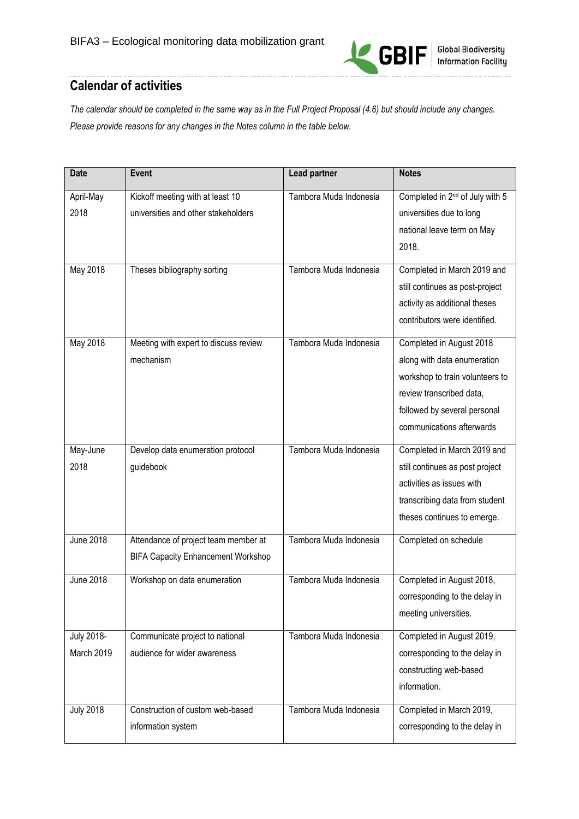

# <span id="page-9-0"></span>**Calendar of activities**

*The calendar should be completed in the same way as in the Full Project Proposal (4.6) but should include any changes. Please provide reasons for any changes in the Notes column in the table below.* 

| <b>Date</b>       | Event                                     | <b>Lead partner</b>    | <b>Notes</b>                                |
|-------------------|-------------------------------------------|------------------------|---------------------------------------------|
| April-May         | Kickoff meeting with at least 10          | Tambora Muda Indonesia | Completed in 2 <sup>nd</sup> of July with 5 |
| 2018              | universities and other stakeholders       |                        | universities due to long                    |
|                   |                                           |                        | national leave term on May                  |
|                   |                                           |                        | 2018.                                       |
| May 2018          | Theses bibliography sorting               | Tambora Muda Indonesia | Completed in March 2019 and                 |
|                   |                                           |                        | still continues as post-project             |
|                   |                                           |                        | activity as additional theses               |
|                   |                                           |                        | contributors were identified.               |
| May 2018          | Meeting with expert to discuss review     | Tambora Muda Indonesia | Completed in August 2018                    |
|                   | mechanism                                 |                        | along with data enumeration                 |
|                   |                                           |                        | workshop to train volunteers to             |
|                   |                                           |                        | review transcribed data,                    |
|                   |                                           |                        | followed by several personal                |
|                   |                                           |                        | communications afterwards                   |
| May-June          | Develop data enumeration protocol         | Tambora Muda Indonesia | Completed in March 2019 and                 |
| 2018              | guidebook                                 |                        | still continues as post project             |
|                   |                                           |                        | activities as issues with                   |
|                   |                                           |                        | transcribing data from student              |
|                   |                                           |                        | theses continues to emerge.                 |
| <b>June 2018</b>  | Attendance of project team member at      | Tambora Muda Indonesia | Completed on schedule                       |
|                   | <b>BIFA Capacity Enhancement Workshop</b> |                        |                                             |
| <b>June 2018</b>  | Workshop on data enumeration              | Tambora Muda Indonesia | Completed in August 2018,                   |
|                   |                                           |                        | corresponding to the delay in               |
|                   |                                           |                        | meeting universities.                       |
| <b>July 2018-</b> | Communicate project to national           | Tambora Muda Indonesia | Completed in August 2019,                   |
| March 2019        | audience for wider awareness              |                        | corresponding to the delay in               |
|                   |                                           |                        | constructing web-based                      |
|                   |                                           |                        | information.                                |
| <b>July 2018</b>  | Construction of custom web-based          | Tambora Muda Indonesia | Completed in March 2019,                    |
|                   | information system                        |                        | corresponding to the delay in               |
|                   |                                           |                        |                                             |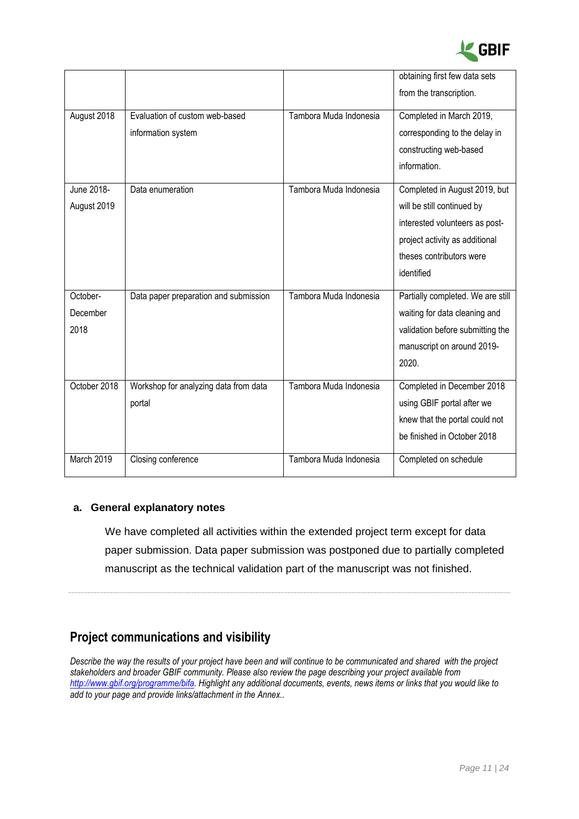

|                              |                                                      |                        | obtaining first few data sets<br>from the transcription.                                                                                                                  |
|------------------------------|------------------------------------------------------|------------------------|---------------------------------------------------------------------------------------------------------------------------------------------------------------------------|
| August 2018                  | Evaluation of custom web-based<br>information system | Tambora Muda Indonesia | Completed in March 2019,<br>corresponding to the delay in<br>constructing web-based<br>information.                                                                       |
| June 2018-<br>August 2019    | Data enumeration                                     | Tambora Muda Indonesia | Completed in August 2019, but<br>will be still continued by<br>interested volunteers as post-<br>project activity as additional<br>theses contributors were<br>identified |
| October-<br>December<br>2018 | Data paper preparation and submission                | Tambora Muda Indonesia | Partially completed. We are still<br>waiting for data cleaning and<br>validation before submitting the<br>manuscript on around 2019-<br>2020.                             |
| October 2018                 | Workshop for analyzing data from data<br>portal      | Tambora Muda Indonesia | Completed in December 2018<br>using GBIF portal after we<br>knew that the portal could not<br>be finished in October 2018                                                 |
| March 2019                   | Closing conference                                   | Tambora Muda Indonesia | Completed on schedule                                                                                                                                                     |

#### **a. General explanatory notes**

We have completed all activities within the extended project term except for data paper submission. Data paper submission was postponed due to partially completed manuscript as the technical validation part of the manuscript was not finished.

# <span id="page-10-0"></span>**Project communications and visibility**

*Describe the way the results of your project have been and will continue to be communicated and shared with the project stakeholders and broader GBIF community. Please also review the page describing your project available from [http://www.gbif.org/programme/bifa.](http://www.gbif.org/programme/bifa) Highlight any additional documents, events, news items or links that you would like to add to your page and provide links/attachment in the Annex..*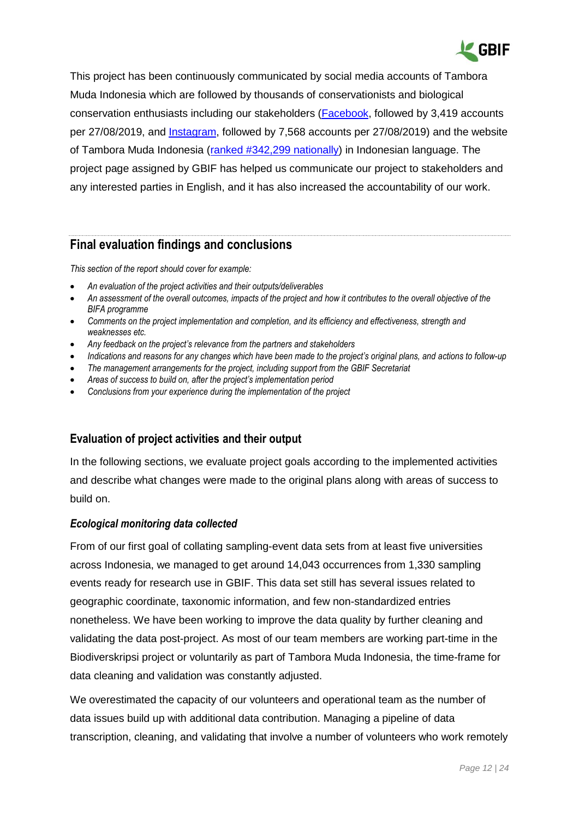

This project has been continuously communicated by social media accounts of Tambora Muda Indonesia which are followed by thousands of conservationists and biological conservation enthusiasts including our stakeholders [\(Facebook,](https://web.facebook.com/tamboramuda/) followed by 3,419 accounts per 27/08/2019, and [Instagram,](instagram.com/tamboramuda/?hl=id) followed by 7,568 accounts per 27/08/2019) and the website of Tambora Muda Indonesia [\(ranked #342,299](https://www.similarweb.com/website/tamboramuda.org) nationally) in Indonesian language. The project page assigned by GBIF has helped us communicate our project to stakeholders and any interested parties in English, and it has also increased the accountability of our work.

### <span id="page-11-0"></span>**Final evaluation findings and conclusions**

*This section of the report should cover for example:*

- *An evaluation of the project activities and their outputs/deliverables*
- *An assessment of the overall outcomes, impacts of the project and how it contributes to the overall objective of the BIFA programme*
- *Comments on the project implementation and completion, and its efficiency and effectiveness, strength and weaknesses etc.*
- *Any feedback on the project's relevance from the partners and stakeholders*
- *Indications and reasons for any changes which have been made to the project's original plans, and actions to follow-up*
- *The management arrangements for the project, including support from the GBIF Secretariat*
- *Areas of success to build on, after the project's implementation period*
- *Conclusions from your experience during the implementation of the project*

### **Evaluation of project activities and their output**

In the following sections, we evaluate project goals according to the implemented activities and describe what changes were made to the original plans along with areas of success to build on.

#### *Ecological monitoring data collected*

From of our first goal of collating sampling-event data sets from at least five universities across Indonesia, we managed to get around 14,043 occurrences from 1,330 sampling events ready for research use in GBIF. This data set still has several issues related to geographic coordinate, taxonomic information, and few non-standardized entries nonetheless. We have been working to improve the data quality by further cleaning and validating the data post-project. As most of our team members are working part-time in the Biodiverskripsi project or voluntarily as part of Tambora Muda Indonesia, the time-frame for data cleaning and validation was constantly adjusted.

We overestimated the capacity of our volunteers and operational team as the number of data issues build up with additional data contribution. Managing a pipeline of data transcription, cleaning, and validating that involve a number of volunteers who work remotely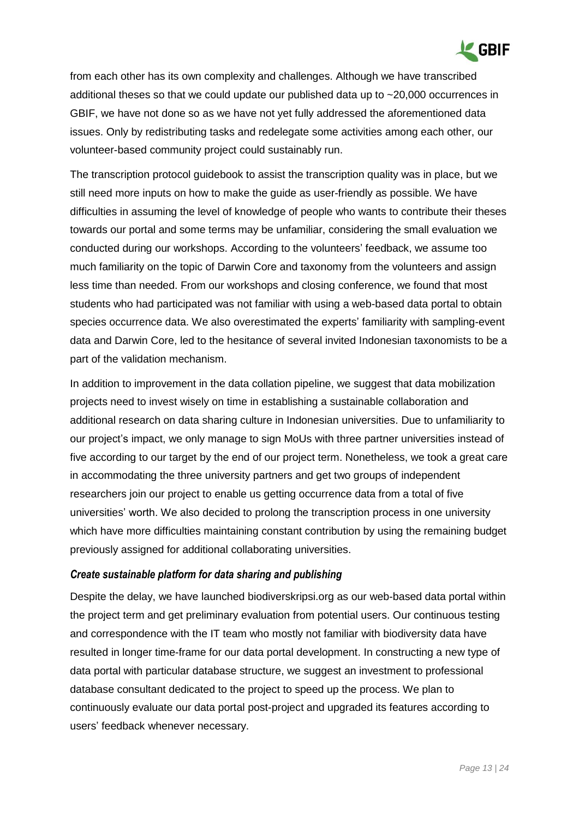

from each other has its own complexity and challenges. Although we have transcribed additional theses so that we could update our published data up to ~20,000 occurrences in GBIF, we have not done so as we have not yet fully addressed the aforementioned data issues. Only by redistributing tasks and redelegate some activities among each other, our volunteer-based community project could sustainably run.

The transcription protocol guidebook to assist the transcription quality was in place, but we still need more inputs on how to make the guide as user-friendly as possible. We have difficulties in assuming the level of knowledge of people who wants to contribute their theses towards our portal and some terms may be unfamiliar, considering the small evaluation we conducted during our workshops. According to the volunteers' feedback, we assume too much familiarity on the topic of Darwin Core and taxonomy from the volunteers and assign less time than needed. From our workshops and closing conference, we found that most students who had participated was not familiar with using a web-based data portal to obtain species occurrence data. We also overestimated the experts' familiarity with sampling-event data and Darwin Core, led to the hesitance of several invited Indonesian taxonomists to be a part of the validation mechanism.

In addition to improvement in the data collation pipeline, we suggest that data mobilization projects need to invest wisely on time in establishing a sustainable collaboration and additional research on data sharing culture in Indonesian universities. Due to unfamiliarity to our project's impact, we only manage to sign MoUs with three partner universities instead of five according to our target by the end of our project term. Nonetheless, we took a great care in accommodating the three university partners and get two groups of independent researchers join our project to enable us getting occurrence data from a total of five universities' worth. We also decided to prolong the transcription process in one university which have more difficulties maintaining constant contribution by using the remaining budget previously assigned for additional collaborating universities.

#### *Create sustainable platform for data sharing and publishing*

Despite the delay, we have launched biodiverskripsi.org as our web-based data portal within the project term and get preliminary evaluation from potential users. Our continuous testing and correspondence with the IT team who mostly not familiar with biodiversity data have resulted in longer time-frame for our data portal development. In constructing a new type of data portal with particular database structure, we suggest an investment to professional database consultant dedicated to the project to speed up the process. We plan to continuously evaluate our data portal post-project and upgraded its features according to users' feedback whenever necessary.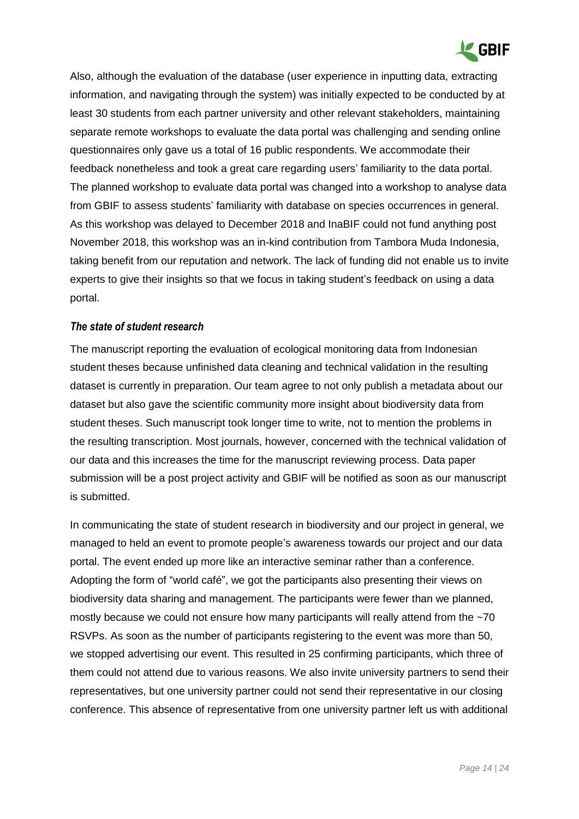

Also, although the evaluation of the database (user experience in inputting data, extracting information, and navigating through the system) was initially expected to be conducted by at least 30 students from each partner university and other relevant stakeholders, maintaining separate remote workshops to evaluate the data portal was challenging and sending online questionnaires only gave us a total of 16 public respondents. We accommodate their feedback nonetheless and took a great care regarding users' familiarity to the data portal. The planned workshop to evaluate data portal was changed into a workshop to analyse data from GBIF to assess students' familiarity with database on species occurrences in general. As this workshop was delayed to December 2018 and InaBIF could not fund anything post November 2018, this workshop was an in-kind contribution from Tambora Muda Indonesia, taking benefit from our reputation and network. The lack of funding did not enable us to invite experts to give their insights so that we focus in taking student's feedback on using a data portal.

#### *The state of student research*

The manuscript reporting the evaluation of ecological monitoring data from Indonesian student theses because unfinished data cleaning and technical validation in the resulting dataset is currently in preparation. Our team agree to not only publish a metadata about our dataset but also gave the scientific community more insight about biodiversity data from student theses. Such manuscript took longer time to write, not to mention the problems in the resulting transcription. Most journals, however, concerned with the technical validation of our data and this increases the time for the manuscript reviewing process. Data paper submission will be a post project activity and GBIF will be notified as soon as our manuscript is submitted.

In communicating the state of student research in biodiversity and our project in general, we managed to held an event to promote people's awareness towards our project and our data portal. The event ended up more like an interactive seminar rather than a conference. Adopting the form of "world café", we got the participants also presenting their views on biodiversity data sharing and management. The participants were fewer than we planned, mostly because we could not ensure how many participants will really attend from the ~70 RSVPs. As soon as the number of participants registering to the event was more than 50, we stopped advertising our event. This resulted in 25 confirming participants, which three of them could not attend due to various reasons. We also invite university partners to send their representatives, but one university partner could not send their representative in our closing conference. This absence of representative from one university partner left us with additional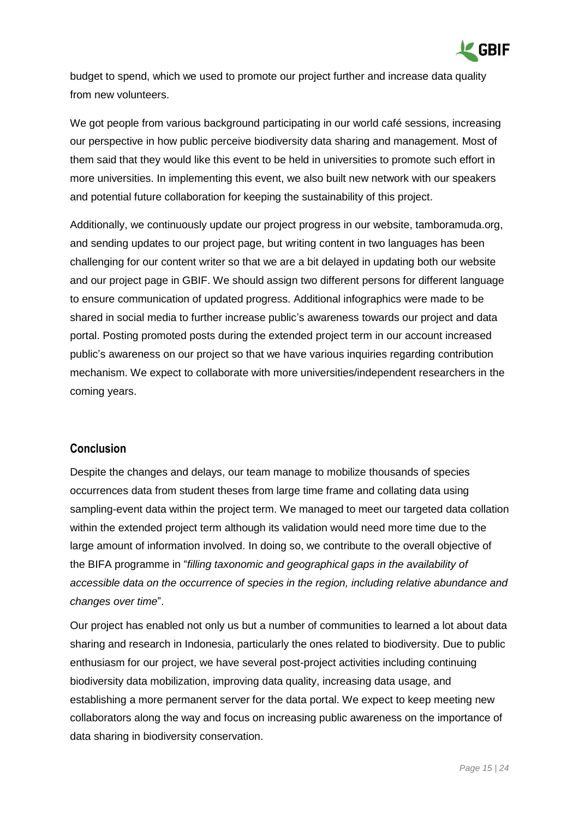

budget to spend, which we used to promote our project further and increase data quality from new volunteers.

We got people from various background participating in our world café sessions, increasing our perspective in how public perceive biodiversity data sharing and management. Most of them said that they would like this event to be held in universities to promote such effort in more universities. In implementing this event, we also built new network with our speakers and potential future collaboration for keeping the sustainability of this project.

Additionally, we continuously update our project progress in our website, tamboramuda.org, and sending updates to our project page, but writing content in two languages has been challenging for our content writer so that we are a bit delayed in updating both our website and our project page in GBIF. We should assign two different persons for different language to ensure communication of updated progress. Additional infographics were made to be shared in social media to further increase public's awareness towards our project and data portal. Posting promoted posts during the extended project term in our account increased public's awareness on our project so that we have various inquiries regarding contribution mechanism. We expect to collaborate with more universities/independent researchers in the coming years.

### **Conclusion**

Despite the changes and delays, our team manage to mobilize thousands of species occurrences data from student theses from large time frame and collating data using sampling-event data within the project term. We managed to meet our targeted data collation within the extended project term although its validation would need more time due to the large amount of information involved. In doing so, we contribute to the overall objective of the BIFA programme in "*filling taxonomic and geographical gaps in the availability of accessible data on the occurrence of species in the region, including relative abundance and changes over time*".

Our project has enabled not only us but a number of communities to learned a lot about data sharing and research in Indonesia, particularly the ones related to biodiversity. Due to public enthusiasm for our project, we have several post-project activities including continuing biodiversity data mobilization, improving data quality, increasing data usage, and establishing a more permanent server for the data portal. We expect to keep meeting new collaborators along the way and focus on increasing public awareness on the importance of data sharing in biodiversity conservation.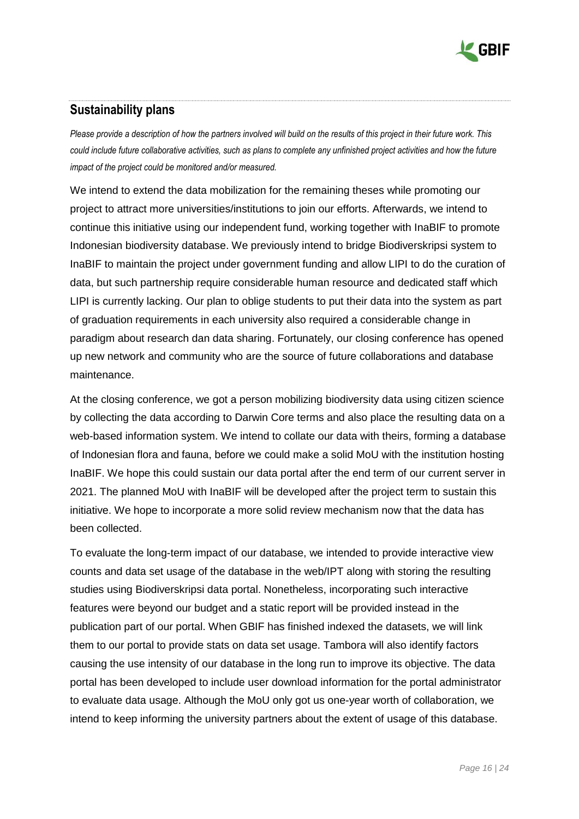

# <span id="page-15-0"></span>**Sustainability plans**

*Please provide a description of how the partners involved will build on the results of this project in their future work. This could include future collaborative activities, such as plans to complete any unfinished project activities and how the future impact of the project could be monitored and/or measured.*

We intend to extend the data mobilization for the remaining theses while promoting our project to attract more universities/institutions to join our efforts. Afterwards, we intend to continue this initiative using our independent fund, working together with InaBIF to promote Indonesian biodiversity database. We previously intend to bridge Biodiverskripsi system to InaBIF to maintain the project under government funding and allow LIPI to do the curation of data, but such partnership require considerable human resource and dedicated staff which LIPI is currently lacking. Our plan to oblige students to put their data into the system as part of graduation requirements in each university also required a considerable change in paradigm about research dan data sharing. Fortunately, our closing conference has opened up new network and community who are the source of future collaborations and database maintenance.

At the closing conference, we got a person mobilizing biodiversity data using citizen science by collecting the data according to Darwin Core terms and also place the resulting data on a web-based information system. We intend to collate our data with theirs, forming a database of Indonesian flora and fauna, before we could make a solid MoU with the institution hosting InaBIF. We hope this could sustain our data portal after the end term of our current server in 2021. The planned MoU with InaBIF will be developed after the project term to sustain this initiative. We hope to incorporate a more solid review mechanism now that the data has been collected.

To evaluate the long-term impact of our database, we intended to provide interactive view counts and data set usage of the database in the web/IPT along with storing the resulting studies using Biodiverskripsi data portal. Nonetheless, incorporating such interactive features were beyond our budget and a static report will be provided instead in the publication part of our portal. When GBIF has finished indexed the datasets, we will link them to our portal to provide stats on data set usage. Tambora will also identify factors causing the use intensity of our database in the long run to improve its objective. The data portal has been developed to include user download information for the portal administrator to evaluate data usage. Although the MoU only got us one-year worth of collaboration, we intend to keep informing the university partners about the extent of usage of this database.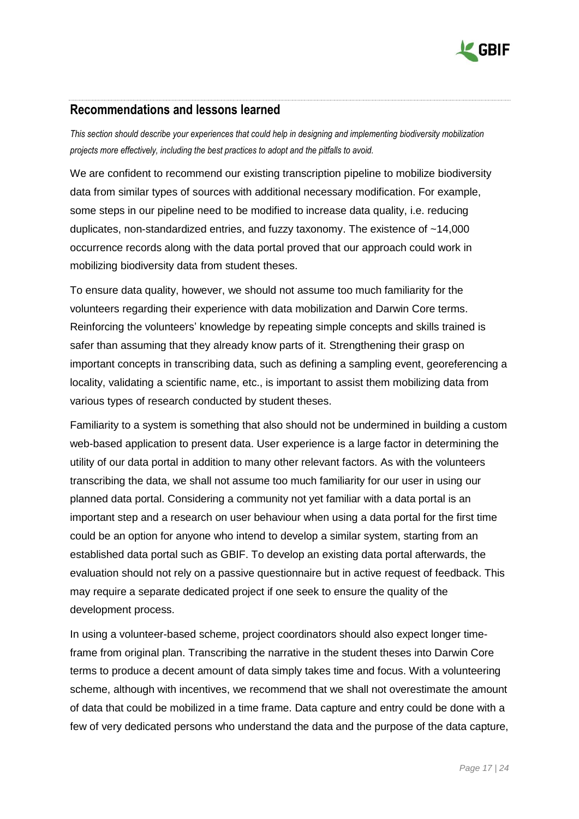

### <span id="page-16-0"></span>**Recommendations and lessons learned**

*This section should describe your experiences that could help in designing and implementing biodiversity mobilization projects more effectively, including the best practices to adopt and the pitfalls to avoid.* 

We are confident to recommend our existing transcription pipeline to mobilize biodiversity data from similar types of sources with additional necessary modification. For example, some steps in our pipeline need to be modified to increase data quality, i.e. reducing duplicates, non-standardized entries, and fuzzy taxonomy. The existence of ~14,000 occurrence records along with the data portal proved that our approach could work in mobilizing biodiversity data from student theses.

To ensure data quality, however, we should not assume too much familiarity for the volunteers regarding their experience with data mobilization and Darwin Core terms. Reinforcing the volunteers' knowledge by repeating simple concepts and skills trained is safer than assuming that they already know parts of it. Strengthening their grasp on important concepts in transcribing data, such as defining a sampling event, georeferencing a locality, validating a scientific name, etc., is important to assist them mobilizing data from various types of research conducted by student theses.

Familiarity to a system is something that also should not be undermined in building a custom web-based application to present data. User experience is a large factor in determining the utility of our data portal in addition to many other relevant factors. As with the volunteers transcribing the data, we shall not assume too much familiarity for our user in using our planned data portal. Considering a community not yet familiar with a data portal is an important step and a research on user behaviour when using a data portal for the first time could be an option for anyone who intend to develop a similar system, starting from an established data portal such as GBIF. To develop an existing data portal afterwards, the evaluation should not rely on a passive questionnaire but in active request of feedback. This may require a separate dedicated project if one seek to ensure the quality of the development process.

In using a volunteer-based scheme, project coordinators should also expect longer timeframe from original plan. Transcribing the narrative in the student theses into Darwin Core terms to produce a decent amount of data simply takes time and focus. With a volunteering scheme, although with incentives, we recommend that we shall not overestimate the amount of data that could be mobilized in a time frame. Data capture and entry could be done with a few of very dedicated persons who understand the data and the purpose of the data capture,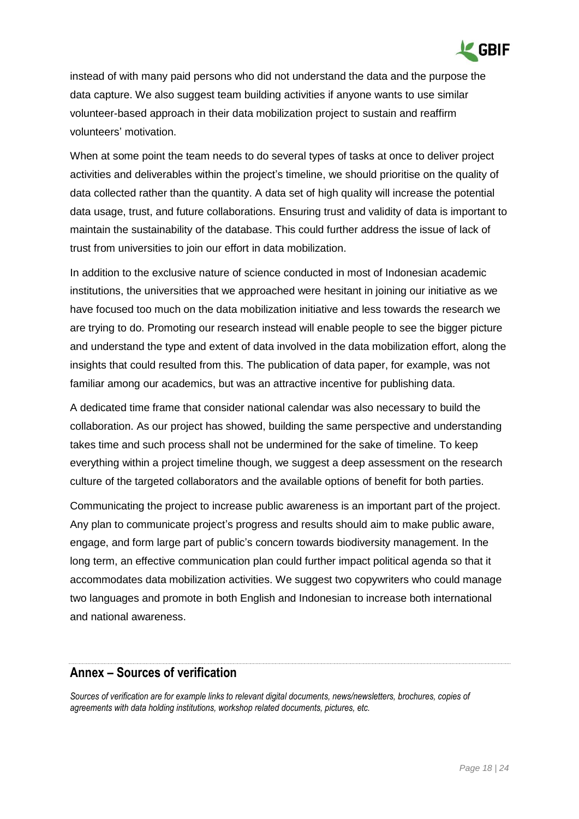

instead of with many paid persons who did not understand the data and the purpose the data capture. We also suggest team building activities if anyone wants to use similar volunteer-based approach in their data mobilization project to sustain and reaffirm volunteers' motivation.

When at some point the team needs to do several types of tasks at once to deliver project activities and deliverables within the project's timeline, we should prioritise on the quality of data collected rather than the quantity. A data set of high quality will increase the potential data usage, trust, and future collaborations. Ensuring trust and validity of data is important to maintain the sustainability of the database. This could further address the issue of lack of trust from universities to join our effort in data mobilization.

In addition to the exclusive nature of science conducted in most of Indonesian academic institutions, the universities that we approached were hesitant in joining our initiative as we have focused too much on the data mobilization initiative and less towards the research we are trying to do. Promoting our research instead will enable people to see the bigger picture and understand the type and extent of data involved in the data mobilization effort, along the insights that could resulted from this. The publication of data paper, for example, was not familiar among our academics, but was an attractive incentive for publishing data.

A dedicated time frame that consider national calendar was also necessary to build the collaboration. As our project has showed, building the same perspective and understanding takes time and such process shall not be undermined for the sake of timeline. To keep everything within a project timeline though, we suggest a deep assessment on the research culture of the targeted collaborators and the available options of benefit for both parties.

Communicating the project to increase public awareness is an important part of the project. Any plan to communicate project's progress and results should aim to make public aware, engage, and form large part of public's concern towards biodiversity management. In the long term, an effective communication plan could further impact political agenda so that it accommodates data mobilization activities. We suggest two copywriters who could manage two languages and promote in both English and Indonesian to increase both international and national awareness.

### <span id="page-17-0"></span>**Annex – Sources of verification**

*Sources of verification are for example links to relevant digital documents, news/newsletters, brochures, copies of agreements with data holding institutions, workshop related documents, pictures, etc.*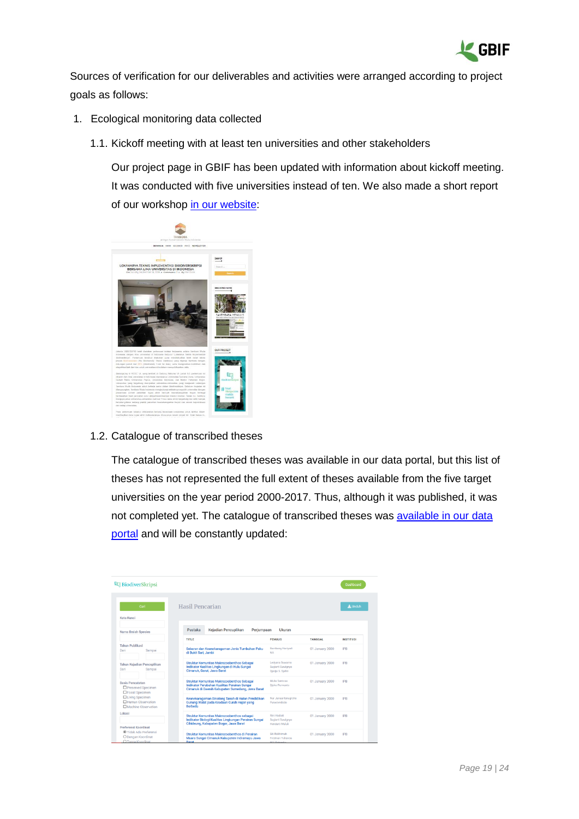

Sources of verification for our deliverables and activities were arranged according to project goals as follows:

- 1. Ecological monitoring data collected
	- 1.1. Kickoff meeting with at least ten universities and other stakeholders

Our project page in GBIF has been updated with information about kickoff meeting. It was conducted with five universities instead of ten. We also made a short report of our workshop [in our website:](http://www.tamboramuda.org/2018/09/lokakarya-teknis-implementasi.html)



#### 1.2. Catalogue of transcribed theses

The catalogue of transcribed theses was available in our data portal, but this list of theses has not represented the full extent of theses available from the five target universities on the year period 2000-2017. Thus, although it was published, it was not completed yet. The catalogue of transcribed theses was [available in our data](https://biodiverskripsi.org/search/result?page=9)  [portal](https://biodiverskripsi.org/search/result?page=9) and will be constantly updated:

| BiodiverSkripsi                                                      |                                                                                                                                                |                                                            |                 | Dashboard        |
|----------------------------------------------------------------------|------------------------------------------------------------------------------------------------------------------------------------------------|------------------------------------------------------------|-----------------|------------------|
| Cari<br>Kata Kunci                                                   | Hasil Pencarian                                                                                                                                |                                                            |                 | & Unduh          |
| Nama Ilmiah Spesies                                                  | Pustaka<br>Kejadian Pencuplikan<br>Periumpaan                                                                                                  | Ukuran                                                     |                 |                  |
|                                                                      | TITLE                                                                                                                                          | <b>PENULIS</b>                                             | <b>TANGGAL</b>  | <b>INSTITUSI</b> |
| <b>Tahun Publikasi</b><br>Sampai<br>Dari                             | Sebaran dan Keanekaragaman Jenis Tumbuhan Paku<br>di Bukit Sari, Jambi                                                                         | <b>Bambang Hariyadi</b><br><b>NA</b>                       | 01 January 2000 | IPB              |
| Tahun Kejadian Pencuplikan<br>Dari<br>Sampai                         | Struktur Komunitas Makrozoobenthos Sebagai<br>Indikator Kualitas Lingkungan di Hulu Sungai<br>Cimanuk, Garut, Jawa Barat                       | Ledvana Suwarno<br>Sugiarti Suwignyo<br>Djadja S. Sjafel   | 01 January 2000 | <b>IPB</b>       |
| <b>Basis Pencatatan</b><br>□ Preserved Specimen<br>□ Fossil Specimen | Struktur Komunitas Makrozoobenthos Sebagai<br>Indikator Perubahan Kualitas Perairan Sungai<br>Cimanuk di Daerah Kabupaten Sumedang, Jawa Barat | Mulia Santosa<br>Djoko Purwanto                            | 01 January 2000 | <b>IPB</b>       |
| □ Living Specimen<br>Human Observation<br>Machine Observation        | Keanekaragaman Binatang Tanah di Hutan Pendidikan<br>Gunung Walat pada Keadaan Curah Hujan yang<br><b>Berbeda</b>                              | Nur Januar Isnugroho<br>Purwowidodo                        | 01 January 2000 | <b>IPR</b>       |
| Lokasi<br>Preferensi Koordinat                                       | Struktur Komunitas Makrozoobenthos sebagai<br>Indikator Biologi Kualitas Lingkungan Perairan Sungai<br>Cihideung, Kabupaten Bogor, Jawa Barat  | Rini Hadiati<br>Sugiarti Suwignyo<br>Hendarti Muluk        | 01 January 2000 | <b>IPR</b>       |
| O Tidak Ada Preferensi<br>O Dengan Koordinat<br>O Tanna Koordinat    | Struktur Komunitas Makrozoobenthos di Perairan<br>Muara Sungai Cimanuk Kabupaten Indramayu Jawa<br><b>Rarat</b>                                | Siti Rokhimah<br>Fredinan Yulianda<br><b>M.C. Dahardin</b> | 01 January 2000 | <b>IPB</b>       |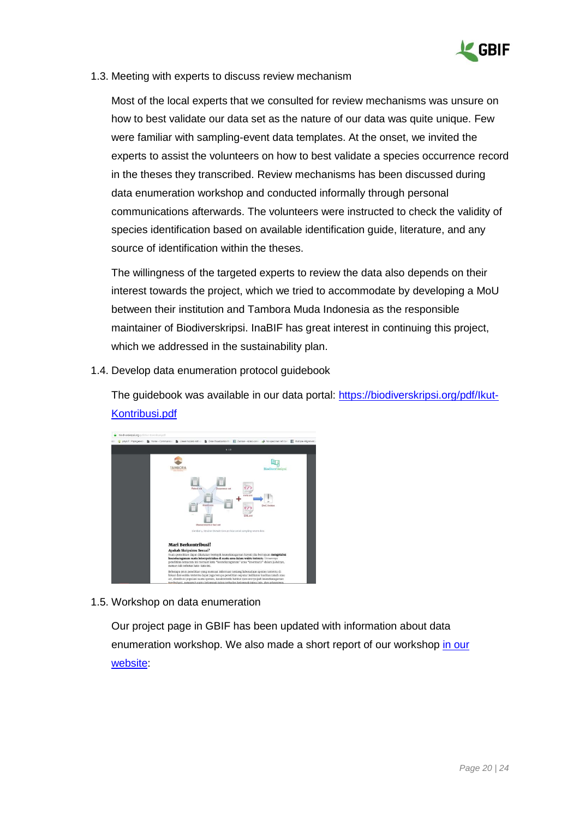

1.3. Meeting with experts to discuss review mechanism

Most of the local experts that we consulted for review mechanisms was unsure on how to best validate our data set as the nature of our data was quite unique. Few were familiar with sampling-event data templates. At the onset, we invited the experts to assist the volunteers on how to best validate a species occurrence record in the theses they transcribed. Review mechanisms has been discussed during data enumeration workshop and conducted informally through personal communications afterwards. The volunteers were instructed to check the validity of species identification based on available identification guide, literature, and any source of identification within the theses.

The willingness of the targeted experts to review the data also depends on their interest towards the project, which we tried to accommodate by developing a MoU between their institution and Tambora Muda Indonesia as the responsible maintainer of Biodiverskripsi. InaBIF has great interest in continuing this project, which we addressed in the sustainability plan.

1.4. Develop data enumeration protocol guidebook

The guidebook was available in our data portal: https://biodiverskripsi.org/pdf/lkut-[Kontribusi.pdf](https://biodiverskripsi.org/pdf/Ikut-Kontribusi.pdf)



#### 1.5. Workshop on data enumeration

Our project page in GBIF has been updated with information about data enumeration workshop. We also made a short report of our workshop [in our](http://www.tamboramuda.org/2018/09/memperingati-kemerdekaan-indonesia.html)  [website:](http://www.tamboramuda.org/2018/09/memperingati-kemerdekaan-indonesia.html)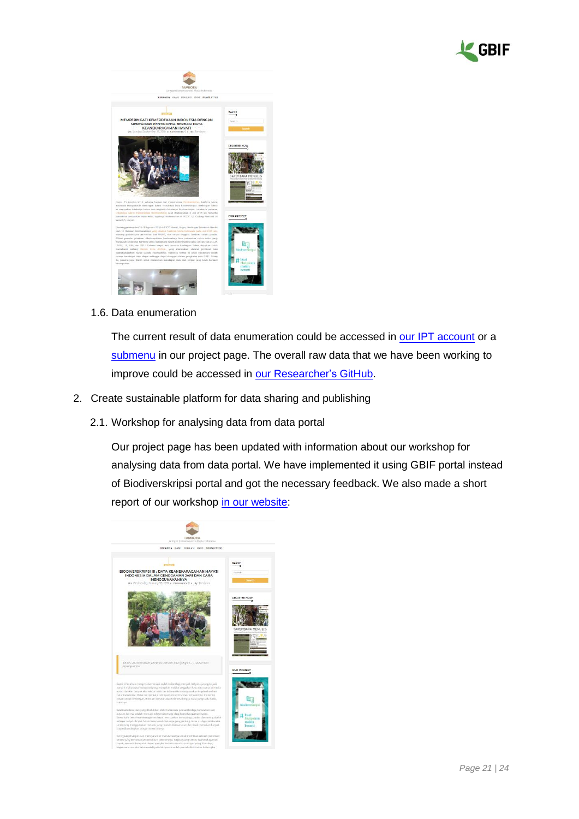



#### 1.6. Data enumeration

The current result of data enumeration could be accessed in [our IPT account](http://ipt.biologi.lipi.go.id/resource?r=biodiverskripsi) or a [submenu](https://www.gbif.org/project/lbJtcnYiuykmyWWQWI4I2/the-biodiversity-theses-database#datasets) in our project page. The overall raw data that we have been working to improve could be accessed in [our Researcher's GitHub.](https://github.com/rahmianugraha/biodiverskripsi)

- 2. Create sustainable platform for data sharing and publishing
	- 2.1. Workshop for analysing data from data portal

Our project page has been updated with information about our workshop for analysing data from data portal. We have implemented it using GBIF portal instead of Biodiverskripsi portal and got the necessary feedback. We also made a short report of our workshop [in our website:](http://www.tamboramuda.org/2019/01/biodiverskripsi-iii-data-keanekaragaman.html)

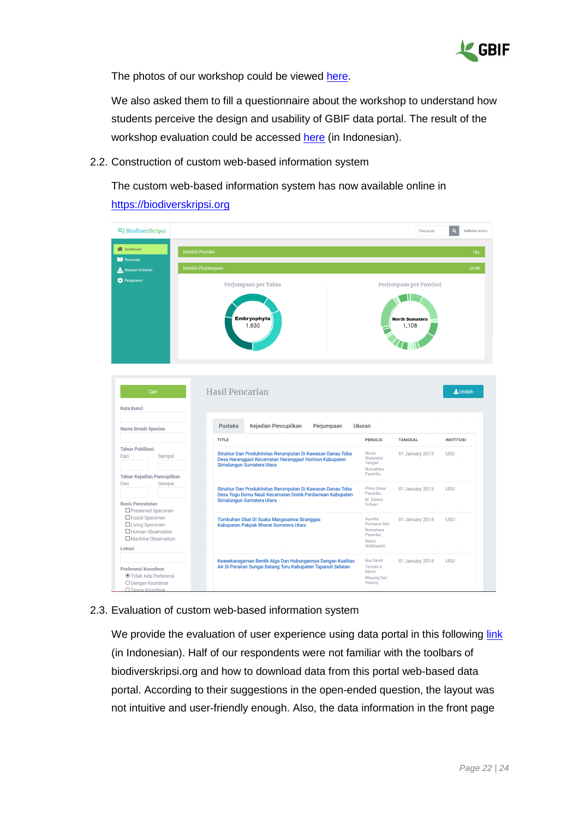

The photos of our workshop could be viewed [here.](https://drive.google.com/open?id=1CxWJqrYcVc4YC_FDj5g5ZQlj7cz0C8mi)

We also asked them to fill a questionnaire about the workshop to understand how students perceive the design and usability of GBIF data portal. The result of the workshop evaluation could be accessed [here](https://tambora.typeform.com/report/jf0AF2/UPiX61b5iiRQzkIS) (in Indonesian).

2.2. Construction of custom web-based information system

The custom web-based information system has now available online in [https://biodiverskripsi.org](https://biodiverskripsi.org/)

| <b>BiodiverSkripsi</b>                                                                              |                                                                                                                                                      |                                                                          | Pencarian                      | $\alpha$<br>Sabhrina Aninta |
|-----------------------------------------------------------------------------------------------------|------------------------------------------------------------------------------------------------------------------------------------------------------|--------------------------------------------------------------------------|--------------------------------|-----------------------------|
| <b>合</b> Dashboard                                                                                  | <b>Jumlah Pustaka</b>                                                                                                                                |                                                                          |                                | 194                         |
| Pencarian<br>Riwayat Unduhan                                                                        | <b>Jumlah Perjumpaan</b>                                                                                                                             |                                                                          |                                | 5096                        |
| Pengaturan                                                                                          | Perjumpaan per Taksa                                                                                                                                 |                                                                          | Perjumpaan per Provinsi        |                             |
|                                                                                                     | Embryophyta<br>1,630                                                                                                                                 |                                                                          | <b>North Sumatera</b><br>1,108 |                             |
| Cari<br><b>Kata Kunci</b><br><b>Nama Ilmiah Spesies</b>                                             | Hasil Pencarian<br>Pustaka<br>Kejadian Pencuplikan                                                                                                   | Perjumpaan<br>Ukuran                                                     |                                | $L$ Unduh                   |
|                                                                                                     | <b>TITLE</b>                                                                                                                                         | <b>PENULIS</b>                                                           | <b>TANGGAL</b>                 | <b>INSTITUSI</b>            |
| <b>Tahun Publikasi</b><br>Dari<br>Sampai<br>Tahun Kejadian Pencuplikan                              | Struktur Dan Produktivitas Rerumputan Di Kawasan Danau Toba<br>Desa Haranggaol Kecamatan Haranggaol Horison Kabupaten<br>Simalungun Sumatera Utara   | Novia<br>Wulandari<br>Tarigan<br>Nursahara<br>Pasaribu                   | 01 January 2013                | <b>USU</b>                  |
| Dari<br>Sampai<br><b>Basis Pencatatan</b><br>□ Preserved Specimen                                   | Struktur Dan Produktivitas Rerumputan Di Kawasan Danau Toba<br>Desa Togu Domu Nauli Kecamatan Dolok Pardamean Kabupaten<br>Simalungun Sumatera Utara | Pinta Omas<br>Pasaribu<br>M. Zaidun<br>Sofyan                            | 01 January 2013                | <b>USU</b>                  |
| □ Fossil Specimen<br>$\Box$ Living Specimen<br>□ Human Observation<br>Machine Observation<br>Lokasi | Tumbuhan Obat Di Suaka Margasatwa Siranggas<br>Kabupaten Pakpak Bharat Sumatera Utara                                                                | Ayunita<br>Purnama Sari<br>Nursahara<br>Pasaribu<br>Retno<br>Widhiastuti | 01 January 2014                | <b>USU</b>                  |
| <b>Preferensi Koordinat</b><br>⊙ Tidak Ada Preferensi                                               | Keanekaragaman Bentik Alga Dan Hubungannya Dengan Kualitas<br>Air Di Perairan Sungai Batang Toru Kabupaten Tapanuli Selatan                          | <b>Boy Sandi</b><br>Ternala A.<br>Barus<br><b>Mayang Sari</b>            | 01 January 2014                | <b>USU</b>                  |

#### 2.3. Evaluation of custom web-based information system

We provide the evaluation of user experience using data portal in this following [link](https://tambora.typeform.com/report/yAXXo5/odo64r4EhXbypsvG) (in Indonesian). Half of our respondents were not familiar with the toolbars of biodiverskripsi.org and how to download data from this portal web-based data portal. According to their suggestions in the open-ended question, the layout was not intuitive and user-friendly enough. Also, the data information in the front page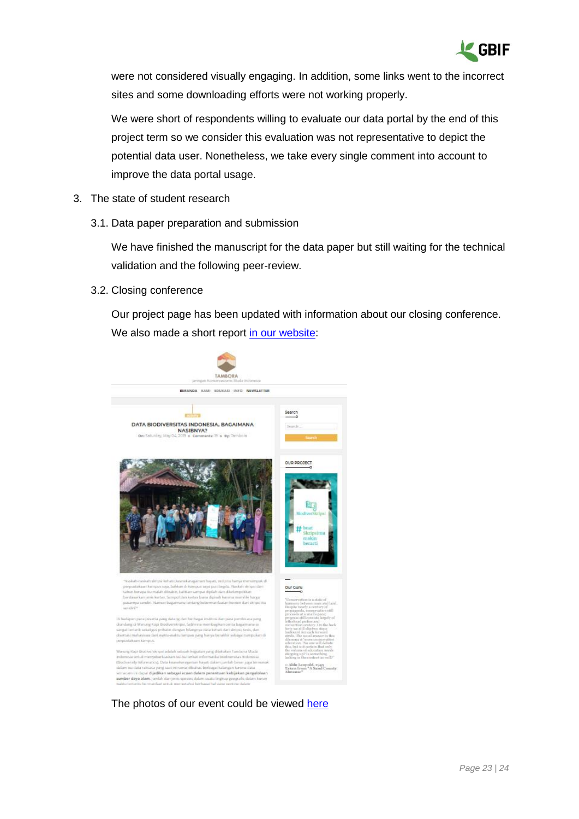

were not considered visually engaging. In addition, some links went to the incorrect sites and some downloading efforts were not working properly.

We were short of respondents willing to evaluate our data portal by the end of this project term so we consider this evaluation was not representative to depict the potential data user. Nonetheless, we take every single comment into account to improve the data portal usage.

- 3. The state of student research
	- 3.1. Data paper preparation and submission

We have finished the manuscript for the data paper but still waiting for the technical validation and the following peer-review.

3.2. Closing conference

Our project page has been updated with information about our closing conference. We also made a short report [in our website:](http://www.tamboramuda.org/2019/05/data-biodiversitas-indonesia-bagaimana.html)



The photos of our event could be viewed [here](https://drive.google.com/open?id=1myeKdcXG772BfGxvK2NYP1nDpQKkxlK_)